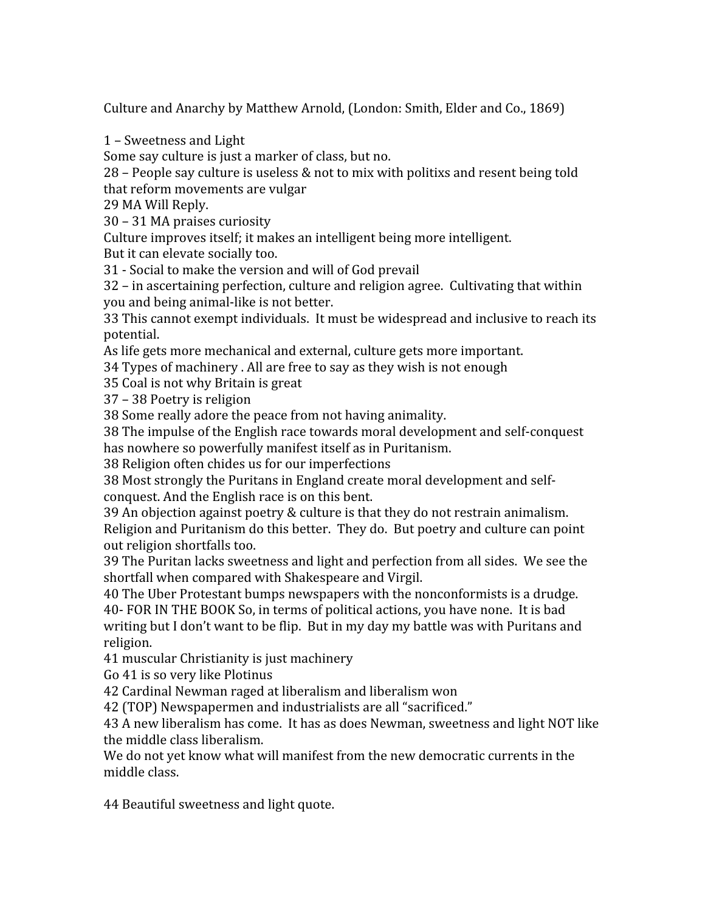Culture
and
Anarchy
by
Matthew
Arnold,
(London:
Smith,
Elder
and
Co.,
1869)

1
–
Sweetness
and
Light

Some
say
culture
is
just
a
marker
of
class,
but
no.

28
–
People
say
culture
is
useless
&
not
to
mix
with
politixs
and
resent
being
told that
reform
movements
are
vulgar

29
MA
Will
Reply.

30
–
31
MA
praises
curiosity

Culture improves itself; it makes an intelligent being more intelligent.

But
it
can
elevate
socially
too.

31
‐
Social
to
make
the
version
and
will
of
God
prevail

32
–
in
ascertaining
perfection,
culture
and
religion
agree.

Cultivating
that
within you
and
being
animal‐like
is
not
better.

33
This
cannot
exempt
individuals.

It
must
be
widespread
and
inclusive
to
reach
its potential.

As
life
gets
more
mechanical
and
external,
culture
gets
more
important.

34
Types
of
machinery
.
All
are
free
to
say
as
they
wish
is
not
enough

35
Coal
is
not
why
Britain
is
great

37
–
38
Poetry
is
religion

38
Some
really
adore
the
peace
from
not
having
animality.

38
The
impulse
of
the
English
race
towards
moral
development
and
self‐conquest has
nowhere
so
powerfully
manifest
itself
as
in
Puritanism.

38
Religion
often
chides
us
for
our
imperfections

38
Most
strongly
the
Puritans
in
England
create
moral
development
and
self‐ conquest.
And
the
English
race
is
on
this
bent.

39
An
objection
against
poetry
&
culture
is
that
they
do
not
restrain
animalism. Religion and Puritanism do this better. They do. But poetry and culture can point out
religion
shortfalls
too.

39
The
Puritan
lacks
sweetness
and
light
and
perfection
from
all
sides.

We
see
the shortfall
when
compared
with
Shakespeare
and
Virgil.

40
The
Uber
Protestant
bumps
newspapers
with
the
nonconformists
is
a
drudge.

40‐
FOR
IN
THE
BOOK
So,
in
terms
of
political
actions,
you
have
none.

It
is
bad writing but I don't want to be flip. But in my day my battle was with Puritans and religion.

41
muscular
Christianity
is
just
machinery

Go
41
is
so
very
like
Plotinus

42
Cardinal
Newman
raged
at
liberalism
and
liberalism
won

42
(TOP)
Newspapermen
and
industrialists
are
all
"sacrificed."

43
A
new
liberalism
has
come.

It
has
as
does
Newman,
sweetness
and
light
NOT
like the
middle
class
liberalism.

We do not yet know what will manifest from the new democratic currents in the middle
class.

44
Beautiful
sweetness
and
light
quote.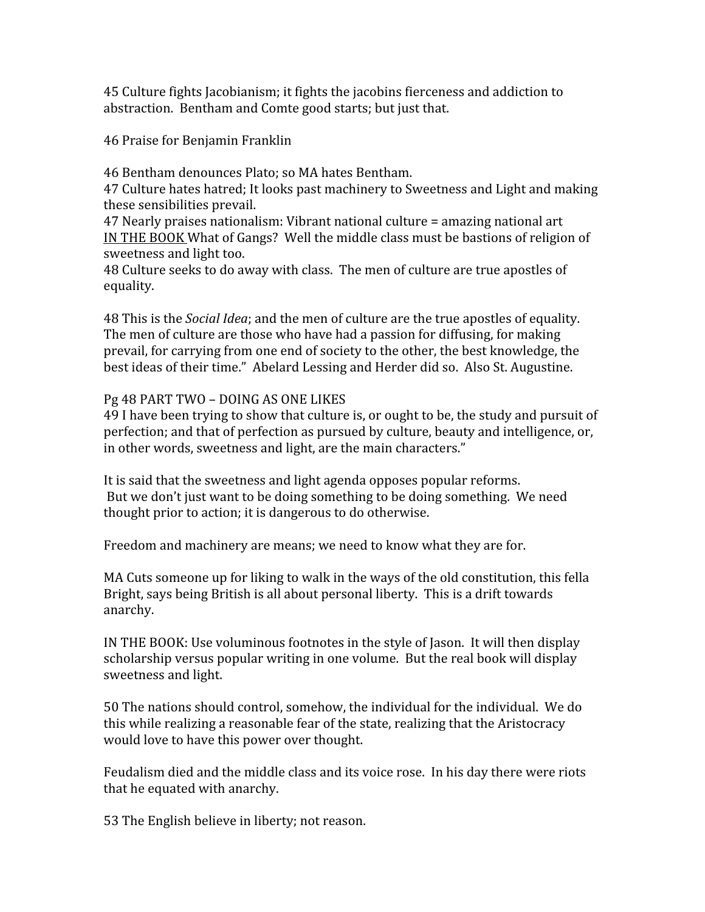45
Culture
fights
Jacobianism;
it
fights
the
jacobins
fierceness
and
addiction
to abstraction.

Bentham
and
Comte
good
starts;
but
just
that.

46
Praise
for
Benjamin
Franklin

46
Bentham
denounces
Plato;
so
MA
hates
Bentham.

47
Culture
hates
hatred;
It
looks
past
machinery
to
Sweetness
and
Light
and
making these
sensibilities
prevail.

47
Nearly
praises
nationalism:
Vibrant
national
culture
=
amazing
national
art IN THE BOOK What of Gangs? Well the middle class must be bastions of religion of sweetness
and
light
too.

48
Culture
seeks
to
do
away
with
class.

The
men
of
culture
are
true
apostles
of equality.

48
This
is
the *Social
Idea*;
and
the
men
of
culture
are
the
true
apostles
of
equality. The
men
of
culture
are
those
who
have
had
a
passion
for
diffusing,
for
making prevail,
for
carrying
from
one
end
of
society
to
the
other,
the
best
knowledge,
the best
ideas
of
their
time."

Abelard
Lessing
and
Herder
did
so.

Also
St.
Augustine.

## Pg
48
PART
TWO
–
DOING
AS
ONE
LIKES

49 I have been trying to show that culture is, or ought to be, the study and pursuit of perfection; and that of perfection as pursued by culture, beauty and intelligence, or, in
other
words,
sweetness
and
light,
are
the
main
characters."

It is said that the sweetness and light agenda opposes popular reforms. But we don't just want to be doing something to be doing something. We need thought prior to action; it is dangerous to do otherwise.

Freedom and machinery are means; we need to know what they are for.

MA
Cuts
someone
up
for
liking
to
walk
in
the
ways
of
the
old
constitution,
this
fella Bright, says being British is all about personal liberty. This is a drift towards anarchy.

IN THE BOOK: Use voluminous footnotes in the style of Jason. It will then display scholarship versus popular writing in one volume. But the real book will display sweetness
and
light.

50
The
nations
should
control,
somehow,
the
individual
for
the
individual.

We
do this while realizing a reasonable fear of the state, realizing that the Aristocracy would love to have this power over thought.

Feudalism died and the middle class and its voice rose. In his day there were riots that
he
equated
with
anarchy.

53
The
English
believe
in
liberty;
not
reason.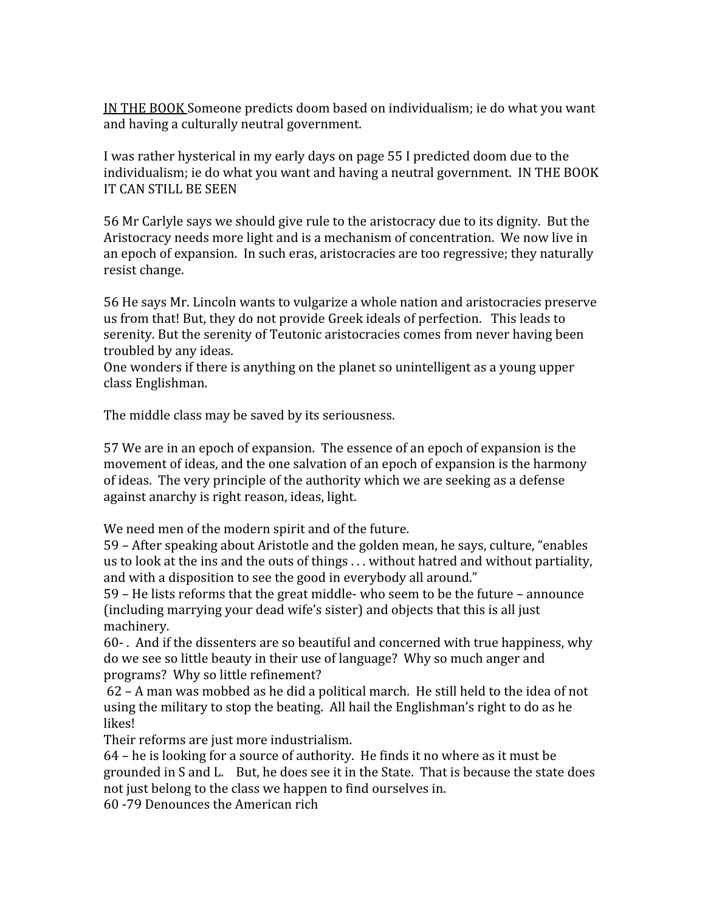IN
THE
BOOK
Someone
predicts
doom
based
on
individualism;
ie
do
what
you
want and
having
a
culturally
neutral
government.

I was rather hysterical in my early days on page 55 I predicted doom due to the individualism; ie do what you want and having a neutral government. IN THE BOOK IT
CAN
STILL
BE
SEEN

56
Mr
Carlyle
says
we
should
give
rule
to
the
aristocracy
due
to
its
dignity.

But
the Aristocracy needs more light and is a mechanism of concentration. We now live in an
epoch
of
expansion.

In
such
eras,
aristocracies
are
too
regressive;
they
naturally resist
change.

56
He
says
Mr.
Lincoln
wants
to
vulgarize
a
whole
nation
and
aristocracies
preserve us from that! But, they do not provide Greek ideals of perfection. This leads to serenity. But the serenity of Teutonic aristocracies comes from never having been troubled
by
any
ideas.

One wonders if there is anything on the planet so unintelligent as a young upper class
Englishman.

The
middle
class
may
be
saved
by
its
seriousness.

57
We
are
in
an
epoch
of
expansion.

The
essence
of
an
epoch
of
expansion
is
the movement
of
ideas,
and
the
one
salvation
of
an
epoch
of
expansion
is
the
harmony of
ideas.

The
very
principle
of
the
authority
which
we
are
seeking
as
a
defense against
anarchy
is
right
reason,
ideas,
light.

We need men of the modern spirit and of the future.

59
–
After
speaking
about
Aristotle
and
the
golden
mean,
he
says,
culture,
"enables us to look at the ins and the outs of things ... without hatred and without partiality, and
with
a
disposition
to
see
the
good
in
everybody
all
around."

59 –
He
lists
reforms
that
the
great
middle‐
who
seem
to
be
the
future
–
announce (including
marrying
your
dead
wife's
sister)
and
objects
that
this
is
all
just machinery.

60‐
.

And
if
the
dissenters
are
so
beautiful
and
concerned
with
true
happiness,
why do
we
see
so
little
beauty
in
their
use
of
language?

Why
so
much
anger
and programs?

Why
so
little
refinement?

62
–
A
man
was
mobbed
as
he
did
a
political
march.

He
still
held
to
the
idea
of
not using the military to stop the beating. All hail the Englishman's right to do as he likes!

Their
reforms
are
just
more
industrialism.

64
–
he
is
looking
for
a
source
of
authority.

He
finds
it
no
where
as
it
must
be grounded
in
S
and
L.

But,
he
does
see
it
in
the
State.

That
is
because
the
state
does not
just
belong
to
the
class
we
happen
to
find
ourselves
in.

60
‐79
Denounces
the
American
rich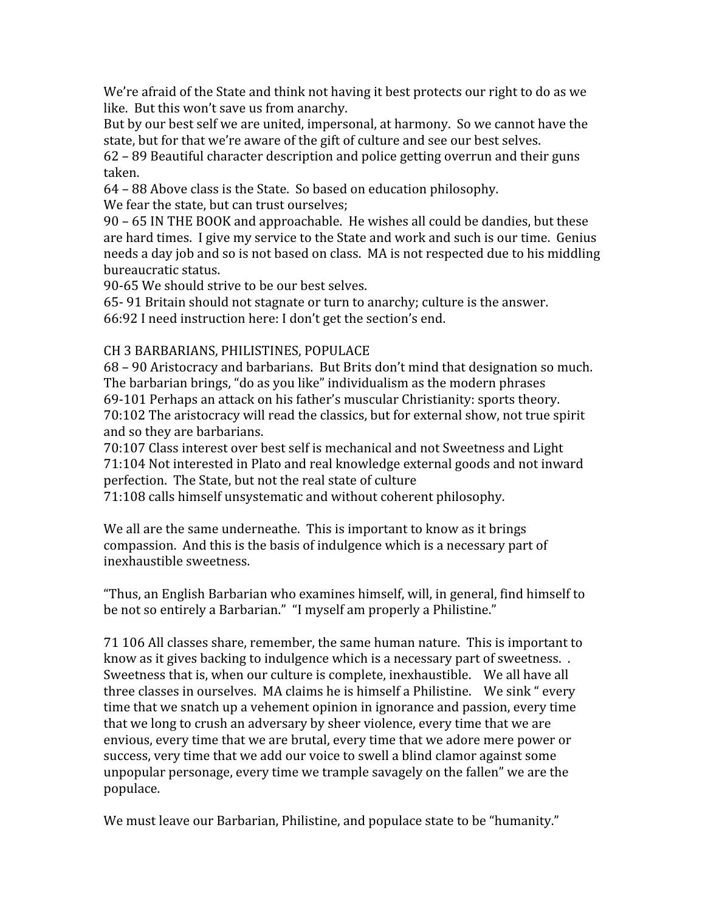We're afraid of the State and think not having it best protects our right to do as we like. But this won't save us from anarchy.

But by our best self we are united, impersonal, at harmony. So we cannot have the state, but for that we're aware of the gift of culture and see our best selves.

62
–
89
Beautiful
character
description
and
police
getting
overrun
and
their
guns taken.

64
–
88
Above
class
is
the
State.

So
based
on
education
philosophy.

We fear the state, but can trust ourselves;

90
–
65
IN
THE
BOOK
and
approachable.

He
wishes
all
could
be
dandies,
but
these are hard times. I give my service to the State and work and such is our time. Genius needs a day job and so is not based on class. MA is not respected due to his middling bureaucratic
status.

90‐65
We
should
strive
to
be
our
best
selves.

65‐
91
Britain
should
not
stagnate
or
turn
to
anarchy;
culture
is
the
answer. 66:92
I
need
instruction
here:
I
don't
get
the
section's
end.

# CH
3
BARBARIANS,
PHILISTINES,
POPULACE

68
–
90
Aristocracy
and
barbarians.

But
Brits
don't
mind
that
designation
so
much. The
barbarian
brings,
"do
as
you
like"
individualism
as
the
modern
phrases 69‐101
Perhaps
an
attack
on
his
father's
muscular
Christianity:
sports
theory. 70:102
The
aristocracy
will
read
the
classics,
but
for
external
show,
not
true
spirit and
so
they
are
barbarians.

70:107
Class
interest
over
best
self
is
mechanical
and
not
Sweetness
and
Light 71:104
Not
interested
in
Plato
and
real
knowledge
external
goods
and
not
inward perfection.

The
State,
but
not
the
real
state
of
culture

71:108
calls
himself
unsystematic
and
without
coherent
philosophy.

We all are the same underneathe. This is important to know as it brings compassion.

And
this
is
the
basis
of
indulgence
which
is
a
necessary
part
of inexhaustible
sweetness.

"Thus,
an
English
Barbarian
who
examines
himself,
will,
in
general,
find
himself
to be not so entirely a Barbarian." "I myself am properly a Philistine."

71
106
All
classes
share,
remember,
the
same
human
nature.

This
is
important
to know as it gives backing to indulgence which is a necessary part of sweetness.. Sweetness that is, when our culture is complete, inexhaustible. We all have all three classes in ourselves. MA claims he is himself a Philistine. We sink "every time
that
we
snatch
up
a
vehement
opinion
in
ignorance
and
passion,
every
time that
we
long
to
crush
an
adversary
by
sheer
violence,
every
time
that
we
are envious, every time that we are brutal, every time that we adore mere power or success,
very
time
that
we
add
our
voice
to
swell
a
blind
clamor
against
some unpopular
personage,
every
time
we
trample
savagely
on
the
fallen"
we
are
the populace.

We must leave our Barbarian, Philistine, and populace state to be "humanity."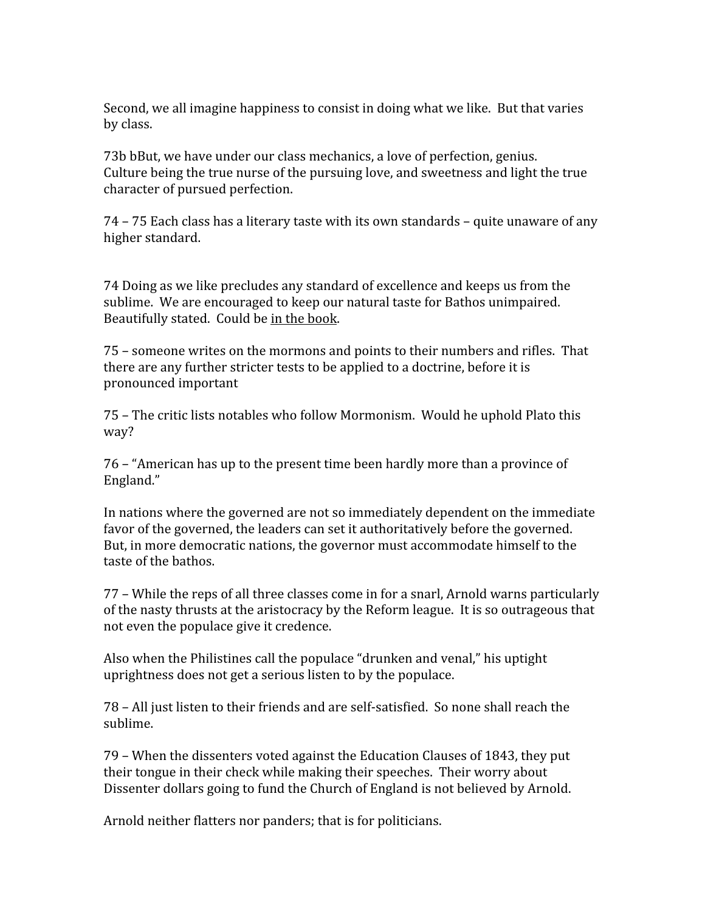Second, we all imagine happiness to consist in doing what we like. But that varies by
class.

73b
bBut,
we
have
under
our
class
mechanics,
a
love
of
perfection,
genius. Culture being the true nurse of the pursuing love, and sweetness and light the true character
of
pursued
perfection.

74
–
75
Each
class
has
a
literary
taste
with
its
own
standards
–
quite
unaware
of
any higher
standard.

74
Doing
as
we
like
precludes
any
standard
of
excellence
and
keeps
us
from
the sublime. We are encouraged to keep our natural taste for Bathos unimpaired. Beautifully
stated.

Could
be
in
the
book.

75
–
someone
writes
on
the
mormons
and
points
to
their
numbers
and
rifles.

That there are any further stricter tests to be applied to a doctrine, before it is pronounced
important

75
–
The
critic
lists
notables
who
follow
Mormonism.

Would
he
uphold
Plato
this way?

76
–
"American
has
up
to
the
present
time
been
hardly
more
than
a
province
of England."

In nations where the governed are not so immediately dependent on the immediate favor of the governed, the leaders can set it authoritatively before the governed. But, in more democratic nations, the governor must accommodate himself to the taste
of
the
bathos.

77
–
While
the
reps
of
all
three
classes
come
in
for
a
snarl,
Arnold
warns
particularly of the nasty thrusts at the aristocracy by the Reform league. It is so outrageous that not
even
the
populace
give
it
credence.

Also
when
the
Philistines
call
the
populace
"drunken
and
venal,"
his
uptight uprightness
does
not
get
a
serious
listen
to
by
the
populace.

78
–
All
just
listen
to
their
friends
and
are
self‐satisfied.

So
none
shall
reach
the sublime.

79
–
When
the
dissenters
voted
against
the
Education
Clauses
of
1843,
they
put their tongue in their check while making their speeches. Their worry about Dissenter dollars going to fund the Church of England is not believed by Arnold.

Arnold
neither
flatters
nor
panders;
that
is
for
politicians.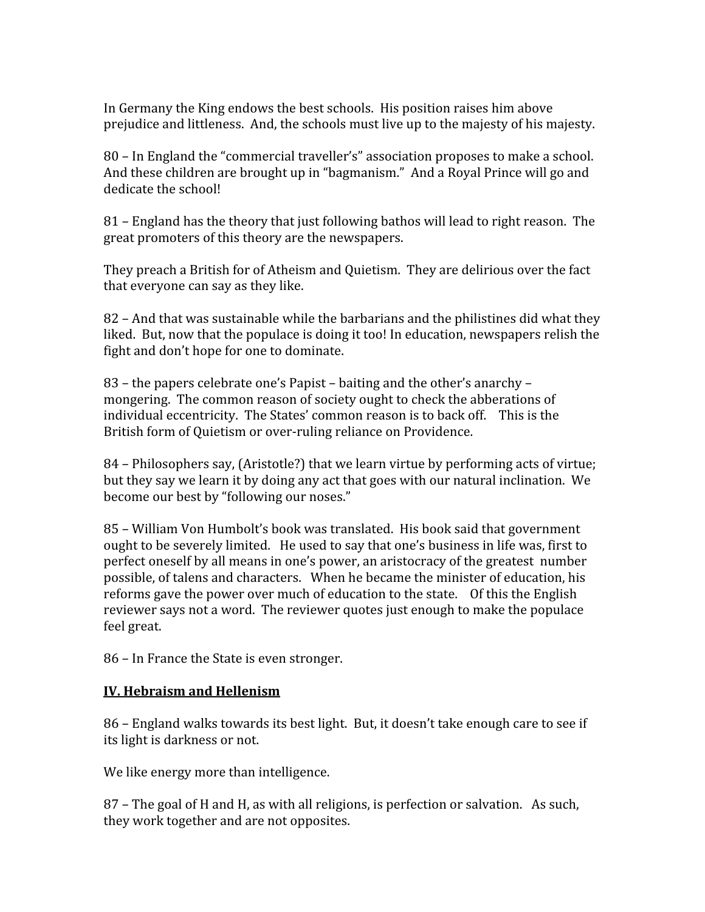In
Germany
the
King
endows
the
best
schools.

His
position
raises
him
above prejudice
and
littleness.

And,
the
schools
must
live
up
to
the
majesty
of
his
majesty.

80
–
In
England
the
"commercial
traveller's"
association
proposes
to
make
a
school. And these children are brought up in "bagmanism." And a Royal Prince will go and dedicate
the
school!

81 – England has the theory that just following bathos will lead to right reason. The great
promoters
of
this
theory
are
the
newspapers.

They preach a British for of Atheism and Quietism. They are delirious over the fact that
everyone
can
say
as
they
like.

82
–
And
that
was
sustainable
while
the
barbarians
and
the
philistines
did
what
they liked. But, now that the populace is doing it too! In education, newspapers relish the fight
and
don't
hope
for
one
to
dominate.

83
–
the
papers
celebrate
one's
Papist
–
baiting
and
the
other's
anarchy
– mongering.

The
common
reason
of
society
ought
to
check
the
abberations
of individual eccentricity. The States' common reason is to back off. This is the British form of Quietism or over-ruling reliance on Providence.

84
–
Philosophers
say,
(Aristotle?)
that
we
learn
virtue
by
performing
acts
of
virtue; but they say we learn it by doing any act that goes with our natural inclination. We become our best by "following our noses."

85
–
William
Von
Humbolt's
book
was
translated.

His
book
said
that
government ought
to
be
severely
limited.

He
used
to
say
that
one's
business
in
life
was,
first
to perfect
oneself
by
all
means
in
one's
power,
an
aristocracy
of
the
greatest

number possible,
of
talens
and
characters.

When
he
became
the
minister
of
education,
his reforms gave the power over much of education to the state. Of this the English reviewer says not a word. The reviewer quotes just enough to make the populace feel
great.

86
–
In
France
the
State
is
even
stronger.

# **IV.
Hebraism
and
Hellenism**

86 – England walks towards its best light. But, it doesn't take enough care to see if its
light
is
darkness
or
not.

We like energy more than intelligence.

87 – The goal of H and H, as with all religions, is perfection or salvation. As such, they
work
together
and
are
not
opposites.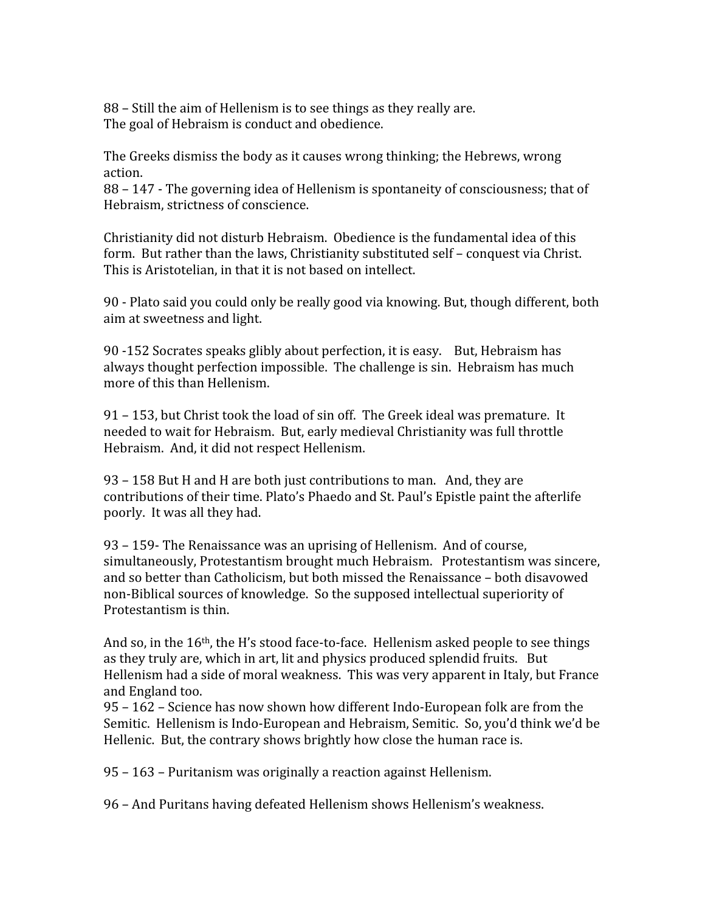88 - Still the aim of Hellenism is to see things as they really are. The
goal
of
Hebraism
is
conduct
and
obedience.

The
Greeks
dismiss
the
body
as
it
causes
wrong
thinking;
the
Hebrews,
wrong action.

88
–
147
‐
The
governing
idea
of
Hellenism
is
spontaneity
of
consciousness;
that
of Hebraism,
strictness
of
conscience.

Christianity did not disturb Hebraism. Obedience is the fundamental idea of this form. But rather than the laws, Christianity substituted self - conquest via Christ. This is Aristotelian, in that it is not based on intellect.

90 - Plato said you could only be really good via knowing. But, though different, both aim
at
sweetness
and
light.

90
‐152
Socrates
speaks
glibly
about
perfection,
it
is
easy.

But,
Hebraism
has always
thought
perfection
impossible.

The
challenge
is
sin.

Hebraism
has
much more
of
this
than
Hellenism.

91
–
153,
but
Christ
took
the
load
of
sin
off.

The
Greek
ideal
was
premature.

It needed
to
wait
for
Hebraism.

But,
early
medieval
Christianity
was
full
throttle Hebraism.

And,
it
did
not
respect
Hellenism.

93
–
158
But
H
and
H
are
both
just
contributions
to
man.

And,
they
are contributions
of
their
time.
Plato's
Phaedo
and
St.
Paul's
Epistle
paint
the
afterlife poorly.

It
was
all
they
had.

93
–
159‐
The
Renaissance
was
an
uprising
of
Hellenism.

And
of
course, simultaneously,
Protestantism
brought
much
Hebraism.

Protestantism
was
sincere, and
so
better
than
Catholicism,
but
both
missed
the
Renaissance
–
both
disavowed non‐Biblical
sources
of
knowledge.

So
the
supposed
intellectual
superiority
of Protestantism
is
thin.

And so, in the  $16<sup>th</sup>$ , the H's stood face-to-face. Hellenism asked people to see things as they truly are, which in art, lit and physics produced splendid fruits. But Hellenism
had
a
side
of
moral
weakness.

This
was
very
apparent
in
Italy,
but
France and
England
too.

95
–
162
–
Science
has
now
shown
how
different
Indo‐European
folk
are
from
the Semitic. Hellenism is Indo-European and Hebraism, Semitic. So, you'd think we'd be Hellenic. But, the contrary shows brightly how close the human race is.

95
–
163
–
Puritanism
was
originally
a
reaction
against
Hellenism.

96
–
And
Puritans
having
defeated
Hellenism
shows
Hellenism's
weakness.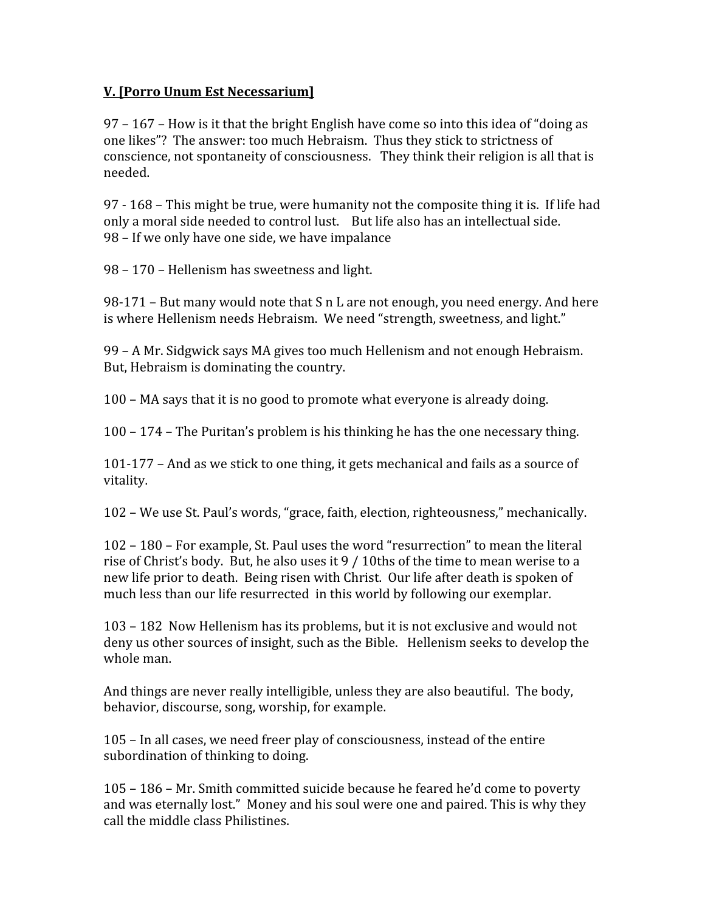## **V.
[Porro
Unum
Est
Necessarium]**

97
–
167
–
How
is
it
that
the
bright
English
have
come
so
into
this
idea
of
"doing
as one
likes"?

The
answer:
too
much
Hebraism.

Thus
they
stick
to
strictness
of conscience, not spontaneity of consciousness. They think their religion is all that is needed.

97
‐
168
–
This
might
be
true,
were
humanity
not
the
composite
thing
it
is.

If
life
had only
a
moral
side
needed
to
control
lust.

But
life
also
has
an
intellectual
side. 98 – If we only have one side, we have impalance

98
–
170
–
Hellenism
has
sweetness
and
light.

98-171 – But many would note that S n L are not enough, you need energy. And here is where Hellenism needs Hebraism. We need "strength, sweetness, and light."

99
–
A
Mr.
Sidgwick
says
MA
gives
too
much
Hellenism
and
not
enough
Hebraism. But,
Hebraism
is
dominating
the
country.

100
–
MA
says
that
it
is
no
good
to
promote
what
everyone
is
already
doing.

100
–
174
–
The
Puritan's
problem
is
his
thinking
he
has
the
one
necessary
thing.

101-177 – And as we stick to one thing, it gets mechanical and fails as a source of vitality.

102
–
We
use
St.
Paul's
words,
"grace,
faith,
election,
righteousness,"
mechanically.

102
–
180
–
For
example,
St.
Paul
uses
the
word
"resurrection"
to
mean
the
literal rise of Christ's body. But, he also uses it 9 / 10ths of the time to mean werise to a new
life
prior
to
death.

Being
risen
with
Christ.

Our
life
after
death
is
spoken
of much
less
than
our
life
resurrected

in
this
world
by
following
our
exemplar.

103
–
182

Now
Hellenism
has
its
problems,
but
it
is
not
exclusive
and
would
not deny us other sources of insight, such as the Bible. Hellenism seeks to develop the whole
man.

And things are never really intelligible, unless they are also beautiful. The body, behavior,
discourse,
song,
worship,
for
example.

105
–
In
all
cases,
we
need
freer
play
of
consciousness,
instead
of
the
entire subordination of thinking to doing.

105
–
186
–
Mr.
Smith
committed
suicide
because
he
feared
he'd
come
to
poverty and
was
eternally
lost."

Money
and
his
soul
were
one
and
paired.
This
is
why
they call
the
middle
class
Philistines.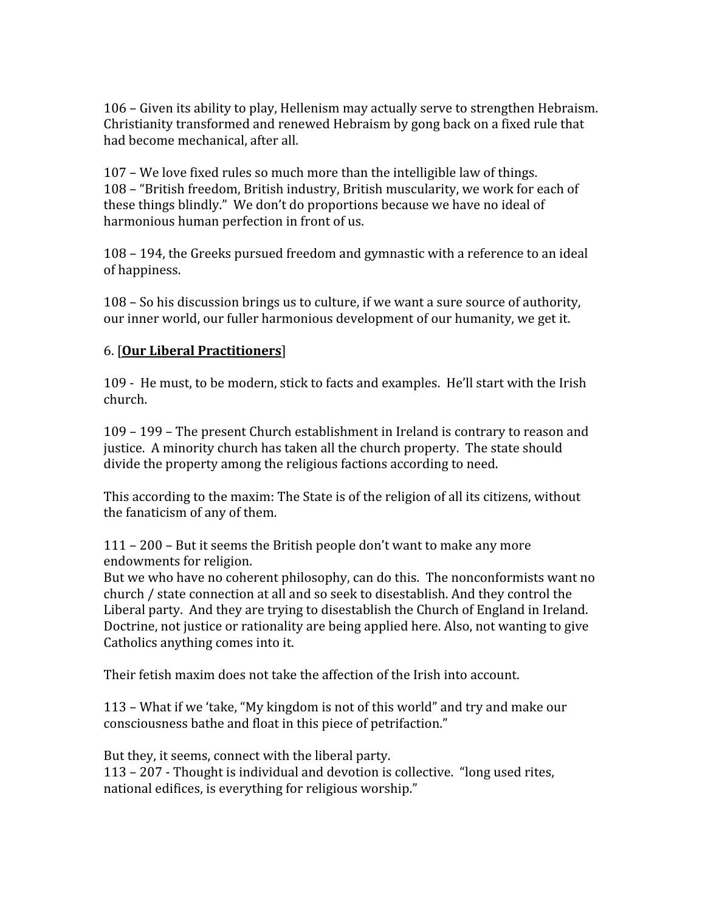106
–
Given
its
ability
to
play,
Hellenism
may
actually
serve
to
strengthen
Hebraism. Christianity
transformed
and
renewed
Hebraism
by
gong
back
on
a
fixed
rule
that had
become
mechanical,
after
all.

107
–
We
love
fixed
rules
so
much
more
than
the
intelligible
law
of
things. 108
–
"British
freedom,
British
industry,
British
muscularity,
we
work
for
each
of these
things
blindly."

We
don't
do
proportions
because
we
have
no
ideal
of harmonious
human
perfection
in
front
of
us.

108
–
194,
the
Greeks
pursued
freedom
and
gymnastic
with
a
reference
to
an
ideal of
happiness.

108
–
So
his
discussion
brings
us
to
culture,
if
we
want
a
sure
source
of
authority, our inner world, our fuller harmonious development of our humanity, we get it.

# 6.
[**Our
Liberal
Practitioners**]

109 - He must, to be modern, stick to facts and examples. He'll start with the Irish church.

109
–
199
–
The
present
Church
establishment
in
Ireland
is
contrary
to
reason
and justice.

A
minority
church
has
taken
all
the
church
property.

The
state
should divide the property among the religious factions according to need.

This according to the maxim: The State is of the religion of all its citizens, without the
fanaticism
of
any
of
them.

111
–
200
–
But
it
seems
the
British
people
don't
want
to
make
any
more endowments
for
religion.

But we who have no coherent philosophy, can do this. The nonconformists want no church
/
state
connection
at
all
and
so
seek
to
disestablish.
And
they
control
the Liberal party. And they are trying to disestablish the Church of England in Ireland. Doctrine, not justice or rationality are being applied here. Also, not wanting to give Catholics
anything
comes
into
it.

Their
fetish
maxim
does
not
take
the
affection
of
the
Irish
into
account.

113 – What if we 'take, "My kingdom is not of this world" and try and make our consciousness
bathe
and
float
in
this
piece
of
petrifaction."

But
they,
it
seems,
connect
with
the
liberal
party. 113
–
207
‐
Thought
is
individual
and
devotion
is
collective.

"long
used
rites, national
edifices,
is
everything
for
religious
worship."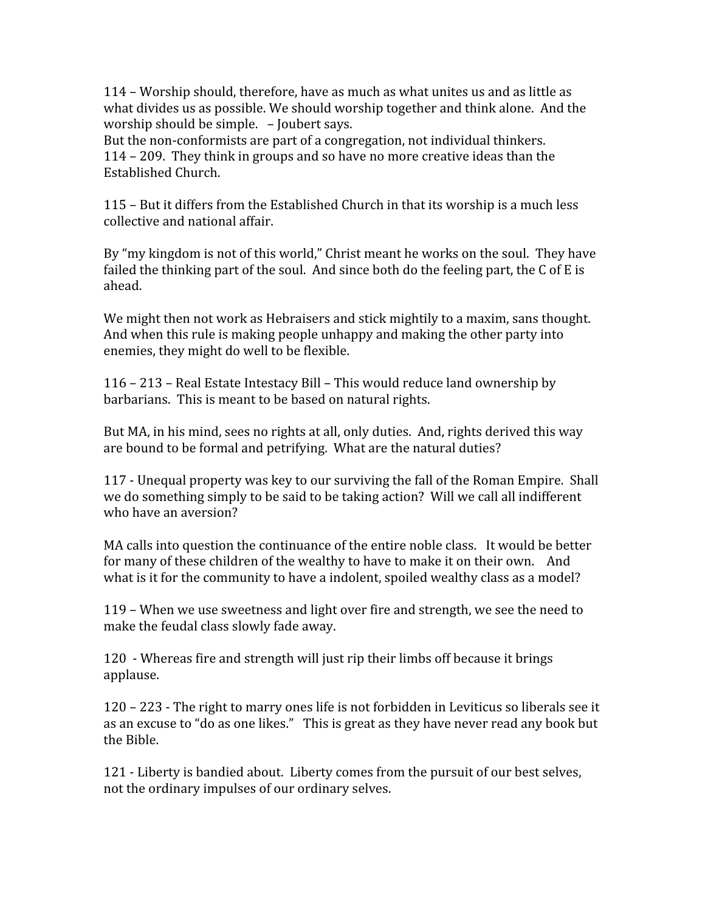114
–
Worship
should,
therefore,
have
as
much
as
what
unites
us
and
as
little
as what divides us as possible. We should worship together and think alone. And the worship
should
be
simple.

–
Joubert
says.

But the non-conformists are part of a congregation, not individual thinkers. 114
–
209.

They
think
in
groups
and
so
have
no
more
creative
ideas
than
the Established
Church.

115
–
But
it
differs
from
the
Established
Church
in
that
its
worship
is
a
much
less collective
and
national
affair.

By "my kingdom is not of this world," Christ meant he works on the soul. They have failed the thinking part of the soul. And since both do the feeling part, the C of E is ahead.

We might then not work as Hebraisers and stick mightily to a maxim, sans thought. And when this rule is making people unhappy and making the other party into enemies,
they
might
do
well
to
be
flexible.

116
–
213
–
Real
Estate
Intestacy
Bill
–
This
would
reduce
land
ownership
by barbarians.

This
is
meant
to
be
based
on
natural
rights.

But MA, in his mind, sees no rights at all, only duties. And, rights derived this way are
bound
to
be
formal
and
petrifying.

What
are
the
natural
duties?

117
‐
Unequal
property
was
key
to
our
surviving
the
fall
of
the
Roman
Empire.

Shall we do something simply to be said to be taking action? Will we call all indifferent who
have
an
aversion?

MA calls into question the continuance of the entire noble class. It would be better for many of these children of the wealthy to have to make it on their own. And what is it for the community to have a indolent, spoiled wealthy class as a model?

119
–
When
we
use
sweetness
and
light
over
fire
and
strength,
we
see
the
need
to make
the
feudal
class
slowly
fade
away.

120

‐
Whereas
fire
and
strength
will
just
rip
their
limbs
off
because
it
brings applause.

120
–
223
‐
The
right
to
marry
ones
life
is
not
forbidden
in
Leviticus
so
liberals
see
it as an excuse to "do as one likes." This is great as they have never read any book but the
Bible.

121
‐
Liberty
is
bandied
about.

Liberty
comes
from
the
pursuit
of
our
best
selves, not
the
ordinary
impulses
of
our
ordinary
selves.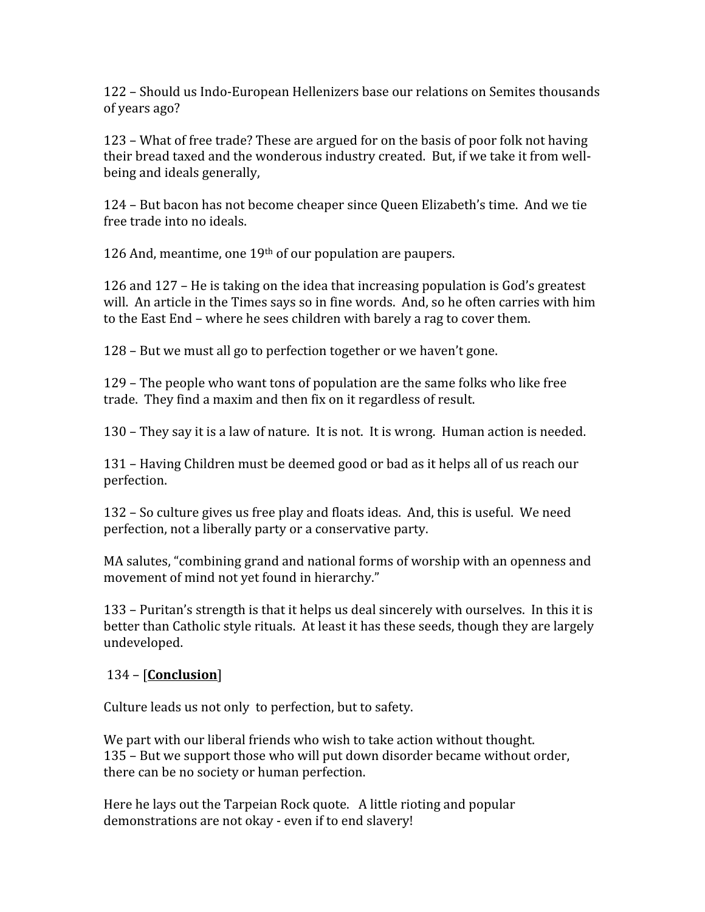122 –
Should
us
Indo‐European
Hellenizers
base
our
relations
on
Semites
thousands of
years
ago?

123
–
What
of
free
trade?
These
are
argued
for
on
the
basis
of
poor
folk
not
having their bread taxed and the wonderous industry created. But, if we take it from wellbeing
and
ideals
generally,

124
–
But
bacon
has
not
become
cheaper
since
Queen
Elizabeth's
time.

And
we
tie free
trade
into
no
ideals.

126
And,
meantime,
one
19th
of
our
population
are
paupers.

126
and
127
–
He
is
taking
on
the
idea
that
increasing
population
is
God's
greatest will. An article in the Times says so in fine words. And, so he often carries with him to the East End – where he sees children with barely a rag to cover them.

128
–
But
we
must
all
go
to
perfection
together
or
we
haven't
gone.

129
–
The
people
who
want
tons
of
population
are
the
same
folks
who
like
free trade.

They
find
a
maxim
and
then
fix
on
it
regardless
of
result.

130
–
They
say
it
is
a
law
of
nature.

It
is
not.

It
is
wrong.

Human
action
is
needed.

131
–
Having
Children
must
be
deemed
good
or
bad
as
it
helps
all
of
us
reach
our perfection.

132
–
So
culture
gives
us
free
play
and
floats
ideas.

And,
this
is
useful.

We
need perfection,
not
a
liberally
party
or
a
conservative
party.

MA salutes, "combining grand and national forms of worship with an openness and movement of mind not vet found in hierarchy."

133 – Puritan's strength is that it helps us deal sincerely with ourselves. In this it is better than Catholic style rituals. At least it has these seeds, though they are largely undeveloped.

# 134
–
[**Conclusion**]

Culture leads us not only to perfection, but to safety.

We part with our liberal friends who wish to take action without thought. 135
–
But
we
support
those
who
will
put
down
disorder
became
without
order, there
can
be
no
society
or
human
perfection.

Here
he
lays
out
the
Tarpeian
Rock
quote.

A
little
rioting
and
popular demonstrations are not okay - even if to end slavery!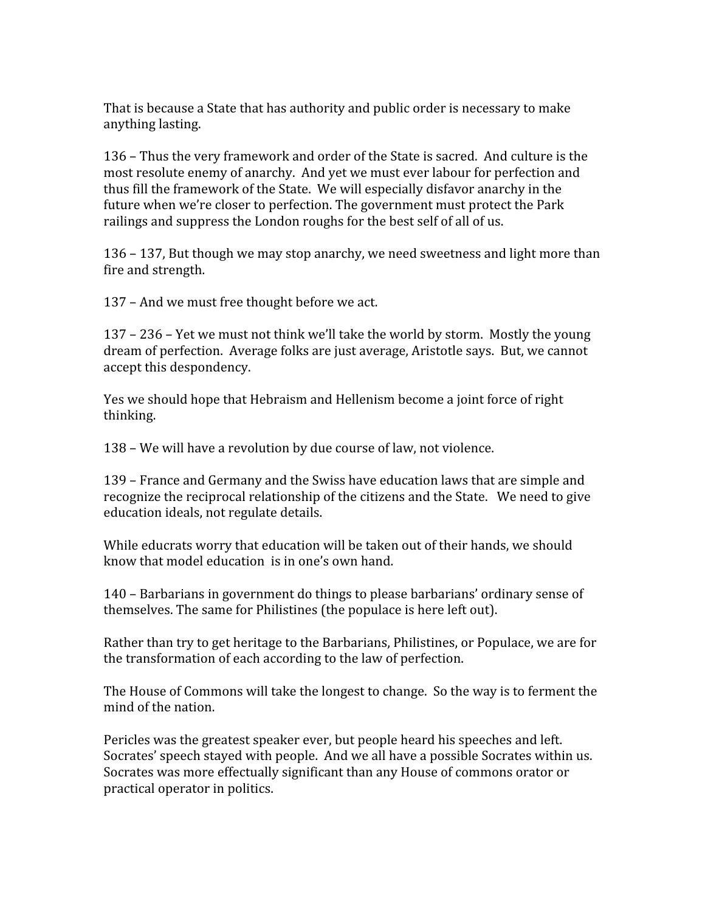That is because a State that has authority and public order is necessary to make anything
lasting.

136
–
Thus
the
very
framework
and
order
of
the
State
is
sacred.

And
culture
is
the most
resolute
enemy
of
anarchy.

And
yet
we
must
ever
labour
for
perfection
and thus fill the framework of the State. We will especially disfavor anarchy in the future when we're closer to perfection. The government must protect the Park railings and suppress the London roughs for the best self of all of us.

136
–
137,
But
though
we
may
stop
anarchy,
we
need
sweetness
and
light
more
than fire
and
strength.

137
–
And
we
must
free
thought
before
we
act.

137
–
236
–
Yet
we
must
not
think
we'll
take
the
world
by
storm.

Mostly
the
young dream
of
perfection.

Average
folks
are
just
average,
Aristotle
says.

But,
we
cannot accept
this
despondency.

Yes we should hope that Hebraism and Hellenism become a joint force of right thinking.

138
–
We
will
have
a
revolution
by
due
course
of
law,
not
violence.

139
–
France
and
Germany
and
the
Swiss
have
education
laws
that
are
simple
and recognize the reciprocal relationship of the citizens and the State. We need to give education
ideals,
not
regulate
details.

While educrats worry that education will be taken out of their hands, we should know that model education is in one's own hand.

140
–
Barbarians
in
government
do
things
to
please
barbarians'
ordinary
sense
of themselves.
The
same
for
Philistines
(the
populace
is
here
left
out).

Rather than try to get heritage to the Barbarians, Philistines, or Populace, we are for the
transformation
of
each
according
to
the
law
of
perfection.

The
House
of
Commons
will
take
the
longest
to
change.

So
the
way
is
to
ferment
the mind
of
the
nation.

Pericles
was
the
greatest
speaker
ever,
but
people
heard
his
speeches
and
left. Socrates' speech stayed with people. And we all have a possible Socrates within us. Socrates was more effectually significant than any House of commons orator or practical
operator
in
politics.